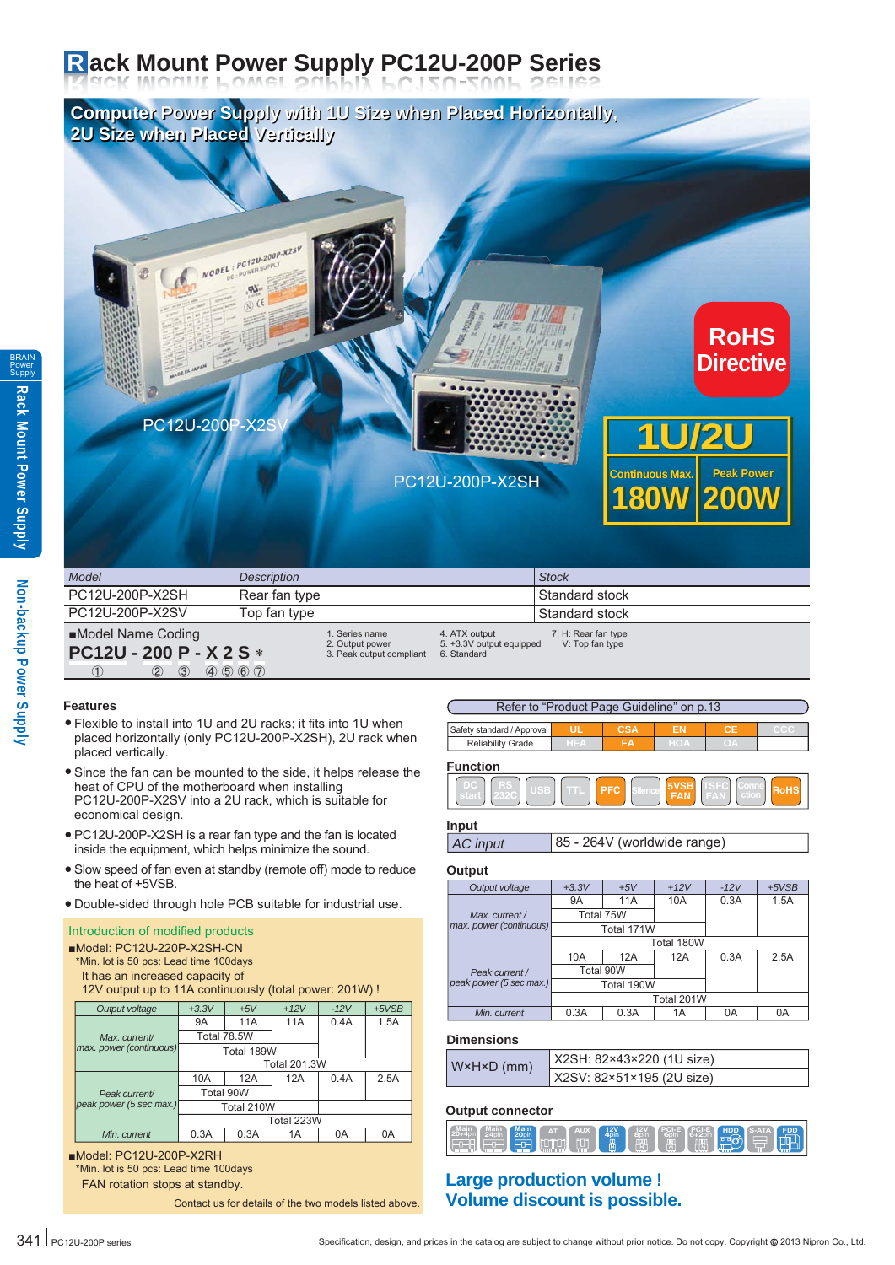# **R ack Mount Power Supply PC12U-200P Series**

**Computer Power Supply with 1U Size when Placed Horizontally, Computer Power Supply with 1U Size when Placed Horizontally, 2U Size when Placed Vertically 2U Size when Placed Vertically**



| Model                                              | <b>Description</b>                                            |                                                          | <b>Stock</b>                           |
|----------------------------------------------------|---------------------------------------------------------------|----------------------------------------------------------|----------------------------------------|
| PC12U-200P-X2SH                                    | Rear fan type                                                 |                                                          | Standard stock                         |
| PC12U-200P-X2SV                                    | Top fan type                                                  |                                                          | Standard stock                         |
| ■Model Name Coding<br>PC12U - 200 P - X 2 S *      | I. Series name<br>2. Output power<br>3. Peak output compliant | 4. ATX output<br>5. +3.3V output equipped<br>6. Standard | 7. H: Rear fan type<br>V: Top fan type |
| $\circled{2}$<br>$\circled{3}$<br>$\left(1\right)$ | (4) 5 6 7                                                     |                                                          |                                        |

### **Features**

- Flexible to install into 1U and 2U racks; it fits into 1U when placed horizontally (only PC12U-200P-X2SH), 2U rack when placed vertically.
- Since the fan can be mounted to the side, it helps release the heat of CPU of the motherboard when installing PC12U-200P-X2SV into a 2U rack, which is suitable for economical design.
- PC12U-200P-X2SH is a rear fan type and the fan is located inside the equipment, which helps minimize the sound.
- Slow speed of fan even at standby (remote off) mode to reduce the heat of +5VSB.
- Double-sided through hole PCB suitable for industrial use. ●

# Introduction of modified products

| Model: PC12U-220P-X2SH-CN<br>*Min. lot is 50 pcs: Lead time 100 days<br>It has an increased capacity of<br>12V output up to 11A continuously (total power: 201W) ! |                     |            |     |      |      |  |  |  |  |  |
|--------------------------------------------------------------------------------------------------------------------------------------------------------------------|---------------------|------------|-----|------|------|--|--|--|--|--|
| $+5VSB$<br>$+3.3V$<br>$+12V$<br>$-12V$<br>Output voltage<br>$+5V$                                                                                                  |                     |            |     |      |      |  |  |  |  |  |
|                                                                                                                                                                    | 9Α                  | 11A        | 11A | 0.4A | 1.5A |  |  |  |  |  |
| Max. current/                                                                                                                                                      | Total 78.5W         |            |     |      |      |  |  |  |  |  |
| max. power (continuous)                                                                                                                                            |                     | Total 189W |     |      |      |  |  |  |  |  |
|                                                                                                                                                                    | <b>Total 201.3W</b> |            |     |      |      |  |  |  |  |  |
|                                                                                                                                                                    | 10A                 | 12A        | 12A | 0.4A | 2.5A |  |  |  |  |  |
| Peak current/                                                                                                                                                      |                     | Total 90W  |     |      |      |  |  |  |  |  |
| peak power (5 sec max.)                                                                                                                                            |                     | Total 210W |     |      |      |  |  |  |  |  |
|                                                                                                                                                                    |                     | Total 223W |     |      |      |  |  |  |  |  |
| Min. current                                                                                                                                                       | 0.3A                | 0.3A       | 1A  | 0A   | 0A   |  |  |  |  |  |
| ■Model: PC12U-200P-X2RH<br>*Min. lot is 50 pcs: Lead time 100 days                                                                                                 |                     |            |     |      |      |  |  |  |  |  |

FAN rotation stops at standby.

Contact us for details of the two models listed above.







### **Input**

```
AC input 85 - 264V (worldwide range)
```
### **Output**

| Output voltage          | $+3.3V$    | $+5V$      | $+12V$ | $-12V$ | $+5VSB$ |  |
|-------------------------|------------|------------|--------|--------|---------|--|
|                         | <b>9A</b>  | 11A        | 10A    | 0.3A   | 1.5A    |  |
| Max. current /          | Total 75W  |            |        |        |         |  |
| max. power (continuous) |            | Total 171W |        |        |         |  |
|                         |            | Total 180W |        |        |         |  |
|                         | 10A        | 12A        | 12A    | 0.3A   | 2.5A    |  |
| Peak current /          |            | Total 90W  |        |        |         |  |
| peak power (5 sec max.) |            | Total 190W |        |        |         |  |
|                         | Total 201W |            |        |        |         |  |
| Min. current            | 0.3A       | 0.3A       | 1A     | 0A     | 0A      |  |

### **Dimensions**

| W×H×D (mm) | X2SH: 82×43×220 (1U size) |
|------------|---------------------------|
|            | X2SV: 82×51×195 (2U size) |

### **Output connector**

|--|--|

### **Large production volume ! Volume discount is possible.**

BRAIN Power **Supply**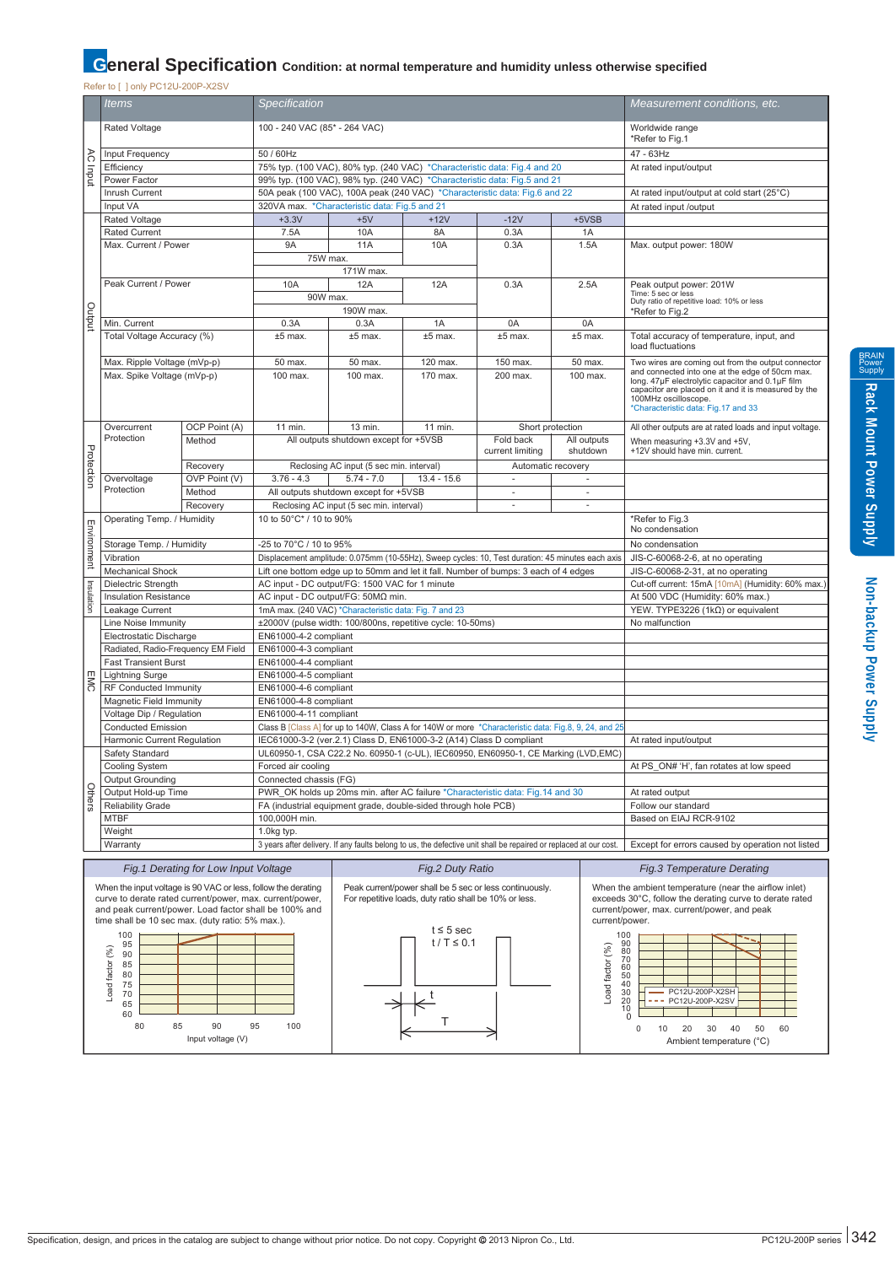# **General Specification** Condition: at normal temperature and humidity unless otherwise specified

|  | Refer to [ ] only PC12U-200P-X2SV |  |
|--|-----------------------------------|--|

|             | <b>NOICE TO LIGHT OTZO-ZOOI -XZOV</b>                         |                                       |                               |                                                                     |                                                        |                                                                                                                   |                              |                                                                              |
|-------------|---------------------------------------------------------------|---------------------------------------|-------------------------------|---------------------------------------------------------------------|--------------------------------------------------------|-------------------------------------------------------------------------------------------------------------------|------------------------------|------------------------------------------------------------------------------|
|             | Specification<br><i>Items</i>                                 |                                       |                               |                                                                     |                                                        |                                                                                                                   | Measurement conditions, etc. |                                                                              |
|             | Rated Voltage                                                 |                                       | 100 - 240 VAC (85* - 264 VAC) |                                                                     |                                                        |                                                                                                                   |                              | Worldwide range<br>*Refer to Fig.1                                           |
|             |                                                               |                                       | 50 / 60Hz                     |                                                                     |                                                        |                                                                                                                   |                              | 47 - 63Hz                                                                    |
|             | Input Frequency                                               |                                       |                               |                                                                     |                                                        |                                                                                                                   |                              |                                                                              |
| AC Input    | Efficiency                                                    |                                       |                               |                                                                     |                                                        | 75% typ. (100 VAC), 80% typ. (240 VAC) *Characteristic data: Fig.4 and 20                                         |                              | At rated input/output                                                        |
|             | Power Factor                                                  |                                       |                               |                                                                     |                                                        | 99% typ. (100 VAC), 98% typ. (240 VAC) *Characteristic data: Fig.5 and 21                                         |                              |                                                                              |
|             | Inrush Current                                                |                                       |                               |                                                                     |                                                        | 50A peak (100 VAC), 100A peak (240 VAC) *Characteristic data: Fig.6 and 22                                        |                              | At rated input/output at cold start (25°C)                                   |
|             | Input VA                                                      |                                       |                               | 320VA max. * Characteristic data: Fig.5 and 21                      |                                                        |                                                                                                                   |                              | At rated input /output                                                       |
|             | Rated Voltage                                                 |                                       | $+3.3V$                       | $+5V$                                                               | $+12V$                                                 | $-12V$                                                                                                            | $+5VSB$                      |                                                                              |
|             | <b>Rated Current</b>                                          |                                       | 7.5A                          | 10A                                                                 | 8A                                                     | 0.3A                                                                                                              | 1A                           |                                                                              |
|             | Max. Current / Power                                          |                                       | 9A                            | <b>11A</b>                                                          | <b>10A</b>                                             | 0.3A                                                                                                              | 1.5A                         | Max. output power: 180W                                                      |
|             |                                                               |                                       | 75W max.                      |                                                                     |                                                        |                                                                                                                   |                              |                                                                              |
|             |                                                               |                                       |                               | 171W max.                                                           |                                                        |                                                                                                                   |                              |                                                                              |
|             | Peak Current / Power                                          |                                       | 10A                           | 12A                                                                 | 12A                                                    | 0.3A                                                                                                              | 2.5A                         | Peak output power: 201W                                                      |
|             |                                                               |                                       | 90W max.                      |                                                                     |                                                        |                                                                                                                   |                              | Time: 5 sec or less<br>Duty ratio of repetitive load: 10% or less            |
|             |                                                               |                                       |                               | 190W max.                                                           |                                                        |                                                                                                                   |                              | *Refer to Fig.2                                                              |
| Output      | Min. Current                                                  |                                       | 0.3A                          | 0.3A                                                                | 1A                                                     | 0A                                                                                                                | 0A                           |                                                                              |
|             | Total Voltage Accuracy (%)                                    |                                       | $±5$ max.                     | $±5$ max.                                                           | $±5$ max.                                              | $±5$ max.                                                                                                         | $±5$ max.                    | Total accuracy of temperature, input, and                                    |
|             |                                                               |                                       |                               |                                                                     |                                                        |                                                                                                                   |                              | load fluctuations                                                            |
|             | Max. Ripple Voltage (mVp-p)                                   |                                       | 50 max.                       | 50 max.                                                             | 120 max.                                               | 150 max.                                                                                                          | 50 max.                      | Two wires are coming out from the output connector                           |
|             | Max. Spike Voltage (mVp-p)                                    |                                       | 100 max.                      | 100 max.                                                            | 170 max.                                               | 200 max.                                                                                                          | 100 max.                     | and connected into one at the edge of 50cm max.                              |
|             |                                                               |                                       |                               |                                                                     |                                                        |                                                                                                                   |                              | long. 47µF electrolytic capacitor and 0.1µF film                             |
|             |                                                               |                                       |                               |                                                                     |                                                        |                                                                                                                   |                              | capacitor are placed on it and it is measured by the<br>100MHz oscilloscope. |
|             |                                                               |                                       |                               |                                                                     |                                                        |                                                                                                                   |                              | *Characteristic data: Fig.17 and 33                                          |
|             |                                                               |                                       |                               |                                                                     |                                                        |                                                                                                                   |                              |                                                                              |
|             | Overcurrent<br>Protection                                     | OCP Point (A)                         | 11 min.                       | 13 min.                                                             | 11 min.                                                | Short protection                                                                                                  |                              | All other outputs are at rated loads and input voltage.                      |
|             |                                                               | Method                                |                               | All outputs shutdown except for +5VSB                               |                                                        | Fold back                                                                                                         | All outputs<br>shutdown      | When measuring +3.3V and +5V,<br>+12V should have min. current.              |
| Protection  |                                                               |                                       |                               |                                                                     |                                                        | current limiting                                                                                                  |                              |                                                                              |
|             |                                                               | Recovery                              |                               | Reclosing AC input (5 sec min. interval)                            |                                                        | Automatic recovery                                                                                                |                              |                                                                              |
|             | Overvoltage                                                   | OVP Point (V)                         | $3.76 - 4.3$                  | $5.74 - 7.0$                                                        | $13.4 - 15.6$                                          | $\overline{\phantom{a}}$                                                                                          | $\overline{\phantom{a}}$     |                                                                              |
|             | Protection                                                    | Method                                |                               | All outputs shutdown except for +5VSB                               |                                                        | $\sim$                                                                                                            | ×.                           |                                                                              |
|             |                                                               | Recovery                              |                               | Reclosing AC input (5 sec min. interval)                            |                                                        | ÷                                                                                                                 | ×.                           |                                                                              |
|             | Operating Temp. / Humidity                                    |                                       | 10 to 50°C* / 10 to 90%       |                                                                     |                                                        |                                                                                                                   |                              | *Refer to Fig.3                                                              |
| Environment |                                                               |                                       |                               |                                                                     | No condensation                                        |                                                                                                                   |                              |                                                                              |
|             | Storage Temp. / Humidity                                      |                                       | -25 to 70°C / 10 to 95%       |                                                                     |                                                        |                                                                                                                   |                              | No condensation                                                              |
|             | Vibration                                                     |                                       |                               |                                                                     |                                                        | Displacement amplitude: 0.075mm (10-55Hz), Sweep cycles: 10, Test duration: 45 minutes each axis                  |                              | JIS-C-60068-2-6, at no operating                                             |
|             | <b>Mechanical Shock</b>                                       |                                       |                               |                                                                     |                                                        | Lift one bottom edge up to 50mm and let it fall. Number of bumps: 3 each of 4 edges                               |                              | JIS-C-60068-2-31, at no operating                                            |
|             | Dielectric Strength                                           |                                       |                               | AC input - DC output/FG: 1500 VAC for 1 minute                      |                                                        |                                                                                                                   |                              | Cut-off current: 15mA [10mA] (Humidity: 60% max.)                            |
| Insulation  | <b>Insulation Resistance</b>                                  |                                       |                               | AC input - DC output/FG: 50ΜΩ min.                                  |                                                        |                                                                                                                   |                              | At 500 VDC (Humidity: 60% max.)                                              |
|             | Leakage Current                                               |                                       |                               | 1mA max. (240 VAC) *Characteristic data: Fig. 7 and 23              |                                                        |                                                                                                                   |                              | YEW. TYPE3226 (1kΩ) or equivalent                                            |
|             | Line Noise Immunity                                           |                                       |                               | ±2000V (pulse width: 100/800ns, repetitive cycle: 10-50ms)          |                                                        |                                                                                                                   |                              | No malfunction                                                               |
|             | Electrostatic Discharge                                       |                                       | EN61000-4-2 compliant         |                                                                     |                                                        |                                                                                                                   |                              |                                                                              |
|             | Radiated, Radio-Frequency EM Field                            |                                       | EN61000-4-3 compliant         |                                                                     |                                                        |                                                                                                                   |                              |                                                                              |
|             | <b>Fast Transient Burst</b>                                   |                                       | EN61000-4-4 compliant         |                                                                     |                                                        |                                                                                                                   |                              |                                                                              |
|             | <b>Lightning Surge</b>                                        |                                       |                               |                                                                     |                                                        |                                                                                                                   |                              |                                                                              |
| <b>EMC</b>  |                                                               |                                       | EN61000-4-5 compliant         |                                                                     |                                                        |                                                                                                                   |                              |                                                                              |
|             | RF Conducted Immunity                                         |                                       | EN61000-4-6 compliant         |                                                                     |                                                        |                                                                                                                   |                              |                                                                              |
|             | Magnetic Field Immunity                                       |                                       | EN61000-4-8 compliant         |                                                                     |                                                        |                                                                                                                   |                              |                                                                              |
|             | Voltage Dip / Regulation                                      |                                       | EN61000-4-11 compliant        |                                                                     |                                                        |                                                                                                                   |                              |                                                                              |
|             | <b>Conducted Emission</b>                                     |                                       |                               |                                                                     |                                                        | Class B [Class A] for up to 140W, Class A for 140W or more *Characteristic data: Fig.8, 9, 24, and 25             |                              |                                                                              |
|             | Harmonic Current Regulation                                   |                                       |                               | IEC61000-3-2 (ver.2.1) Class D, EN61000-3-2 (A14) Class D compliant |                                                        |                                                                                                                   |                              | At rated input/output                                                        |
|             | Safety Standard                                               |                                       |                               |                                                                     |                                                        | UL60950-1, CSA C22.2 No. 60950-1 (c-UL), IEC60950, EN60950-1, CE Marking (LVD,EMC)                                |                              |                                                                              |
|             | Cooling System                                                |                                       | Forced air cooling            |                                                                     |                                                        |                                                                                                                   |                              | At PS_ON# 'H', fan rotates at low speed                                      |
|             | <b>Output Grounding</b>                                       |                                       | Connected chassis (FG)        |                                                                     |                                                        |                                                                                                                   |                              |                                                                              |
| Others      | Output Hold-up Time                                           |                                       |                               |                                                                     |                                                        | PWR OK holds up 20ms min. after AC failure *Characteristic data: Fig.14 and 30                                    |                              | At rated output                                                              |
|             | <b>Reliability Grade</b>                                      |                                       |                               | FA (industrial equipment grade, double-sided through hole PCB)      |                                                        |                                                                                                                   |                              | Follow our standard                                                          |
|             | <b>MTBF</b>                                                   |                                       | 100,000H min.                 |                                                                     |                                                        |                                                                                                                   |                              | Based on EIAJ RCR-9102                                                       |
|             | Weight                                                        |                                       | 1.0kg typ.                    |                                                                     |                                                        |                                                                                                                   |                              |                                                                              |
|             | Warranty                                                      |                                       |                               |                                                                     |                                                        | 3 years after delivery. If any faults belong to us, the defective unit shall be repaired or replaced at our cost. |                              | Except for errors caused by operation not listed                             |
|             |                                                               |                                       |                               |                                                                     |                                                        |                                                                                                                   |                              |                                                                              |
|             |                                                               | Fig. 1 Derating for Low Input Voltage |                               |                                                                     | Fig.2 Duty Ratio                                       |                                                                                                                   |                              | <b>Fig.3 Temperature Derating</b>                                            |
|             | When the input voltage is 90 VAC or less, follow the derating |                                       |                               |                                                                     |                                                        | Peak current/power shall be 5 sec or less continuously.                                                           |                              | When the ambient temperature (near the airflow inlet)                        |
|             | curve to derate rated current/power, max. current/power,      |                                       |                               |                                                                     | For repetitive loads, duty ratio shall be 10% or less. |                                                                                                                   |                              | exceeds 30°C, follow the derating curve to derate rated                      |
|             | and peak current/power. Load factor shall be 100% and         |                                       |                               |                                                                     |                                                        |                                                                                                                   |                              | current/power, max, current/power, and peak                                  |
|             | time shall be 10 sec max. (duty ratio: 5% max.).              |                                       |                               |                                                                     |                                                        |                                                                                                                   |                              | current/power.                                                               |
|             | 100                                                           |                                       |                               |                                                                     | $t \leq 5$ sec                                         |                                                                                                                   |                              |                                                                              |
|             | 95                                                            |                                       |                               |                                                                     | $t / T \le 0.1$                                        |                                                                                                                   |                              | 100<br>90                                                                    |
|             | 90                                                            |                                       |                               |                                                                     |                                                        |                                                                                                                   |                              | 80                                                                           |
|             | 85                                                            |                                       |                               |                                                                     |                                                        |                                                                                                                   |                              | $\substack{70\\60}$                                                          |
|             | 80<br>75                                                      |                                       |                               |                                                                     |                                                        |                                                                                                                   |                              | $\frac{50}{40}$                                                              |
|             | Load factor (%)<br>70                                         |                                       |                               |                                                                     |                                                        |                                                                                                                   | Load factor (%)              | 30<br>PC12U-200P-X2SH                                                        |
|             | 65                                                            |                                       |                               |                                                                     |                                                        |                                                                                                                   |                              | 20<br>--- PC12U-200P-X2SV<br>10                                              |
|             | 60                                                            |                                       |                               |                                                                     |                                                        |                                                                                                                   |                              | $\mathbf 0$                                                                  |
|             | 80<br>85                                                      | 90                                    | 95<br>100                     |                                                                     |                                                        |                                                                                                                   |                              | 20<br>0<br>10<br>30<br>40<br>50<br>60                                        |
|             |                                                               | Input voltage (V)                     |                               |                                                                     |                                                        |                                                                                                                   |                              | Ambient temperature (°C)                                                     |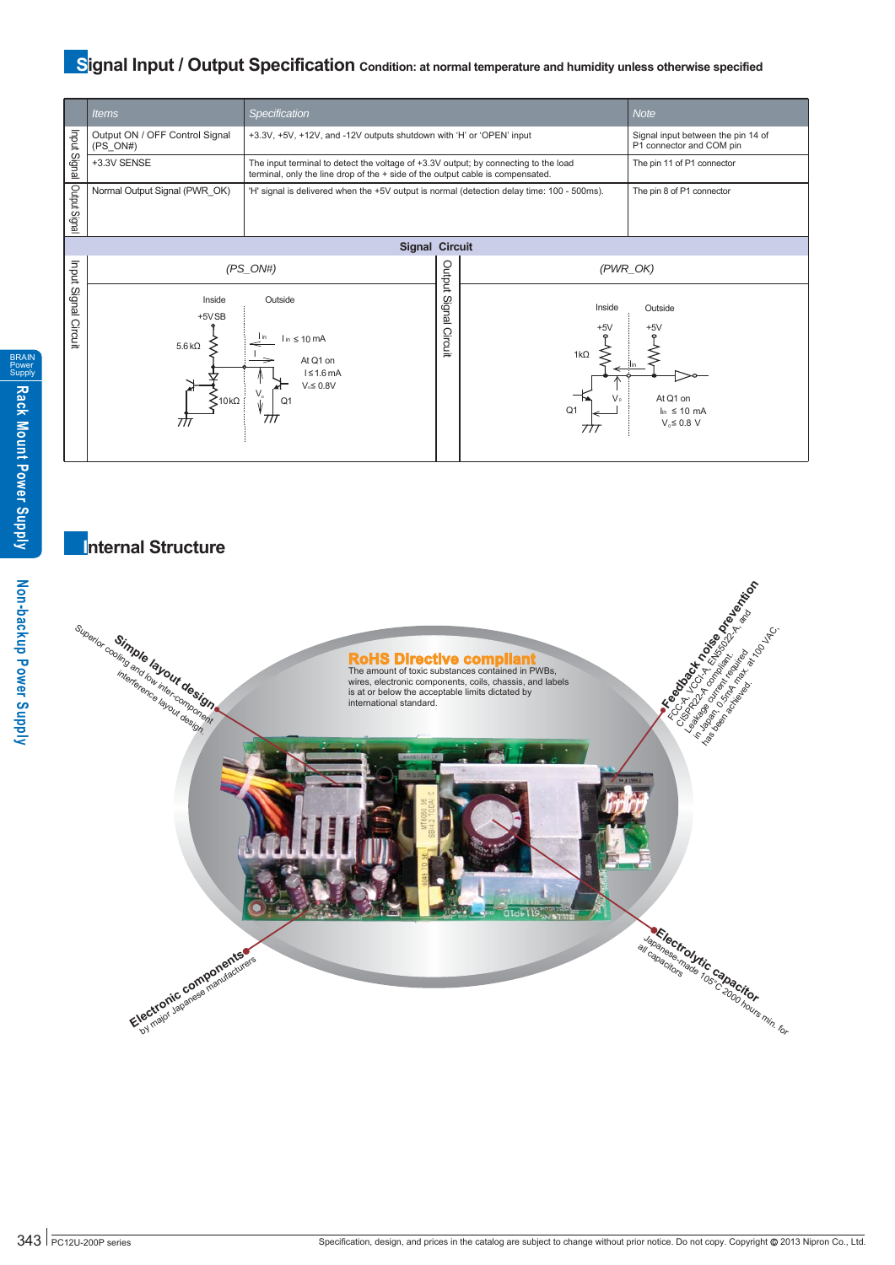# **Signal Input / Output Specification** condition: at normal temperature and humidity unless otherwise specified



### **Internal Structure**

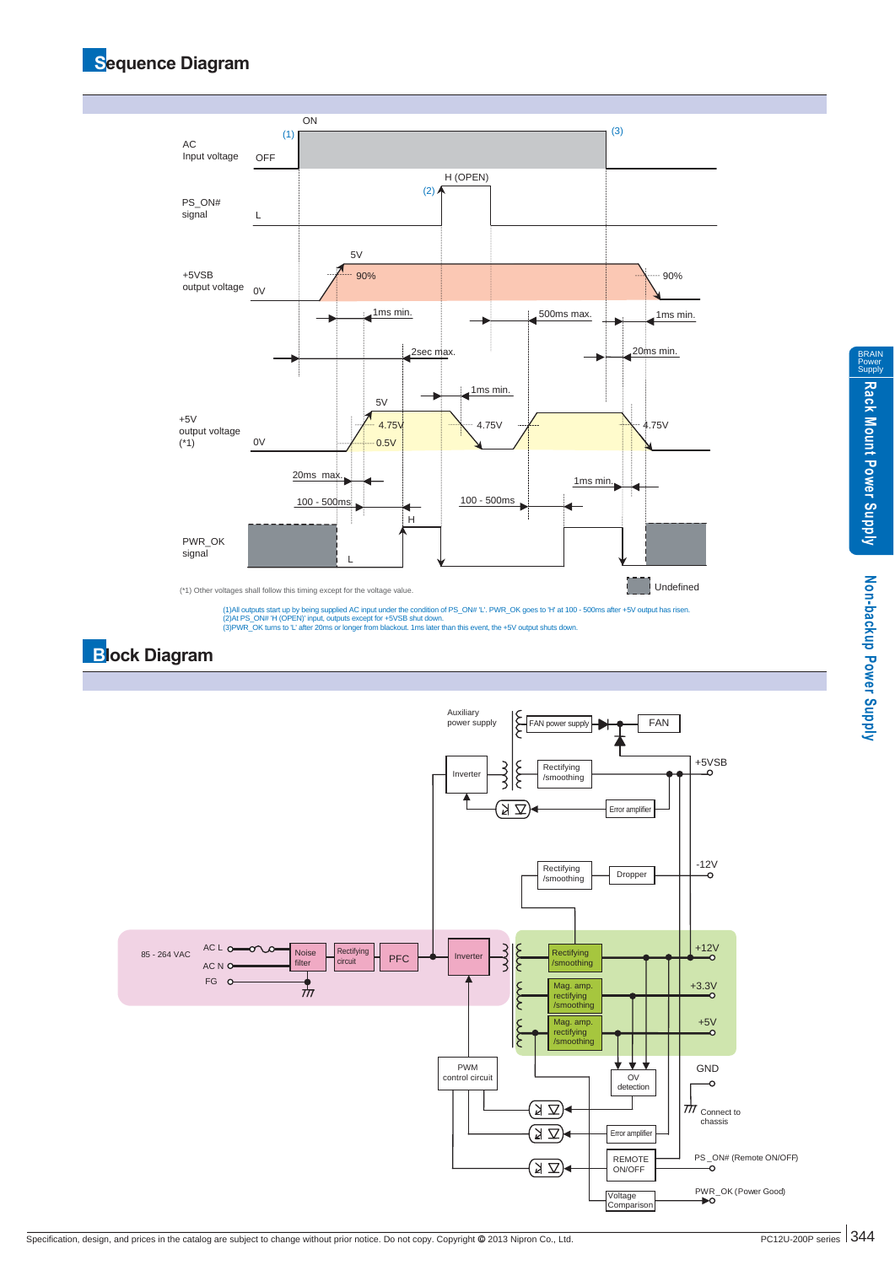# **Sequence Diagram**



(1)All outputs start up by being supplied AC input under the condition of PS\_ON# 'L'. PWR\_OK goes to 'H' at 100 - 500ms after +5V output has risen<br>(2)At PS\_ON# 'H (OPEN)' input, outputs except for +5VSB shut down.<br>(3)PWR\_O

# **Block Diagram**

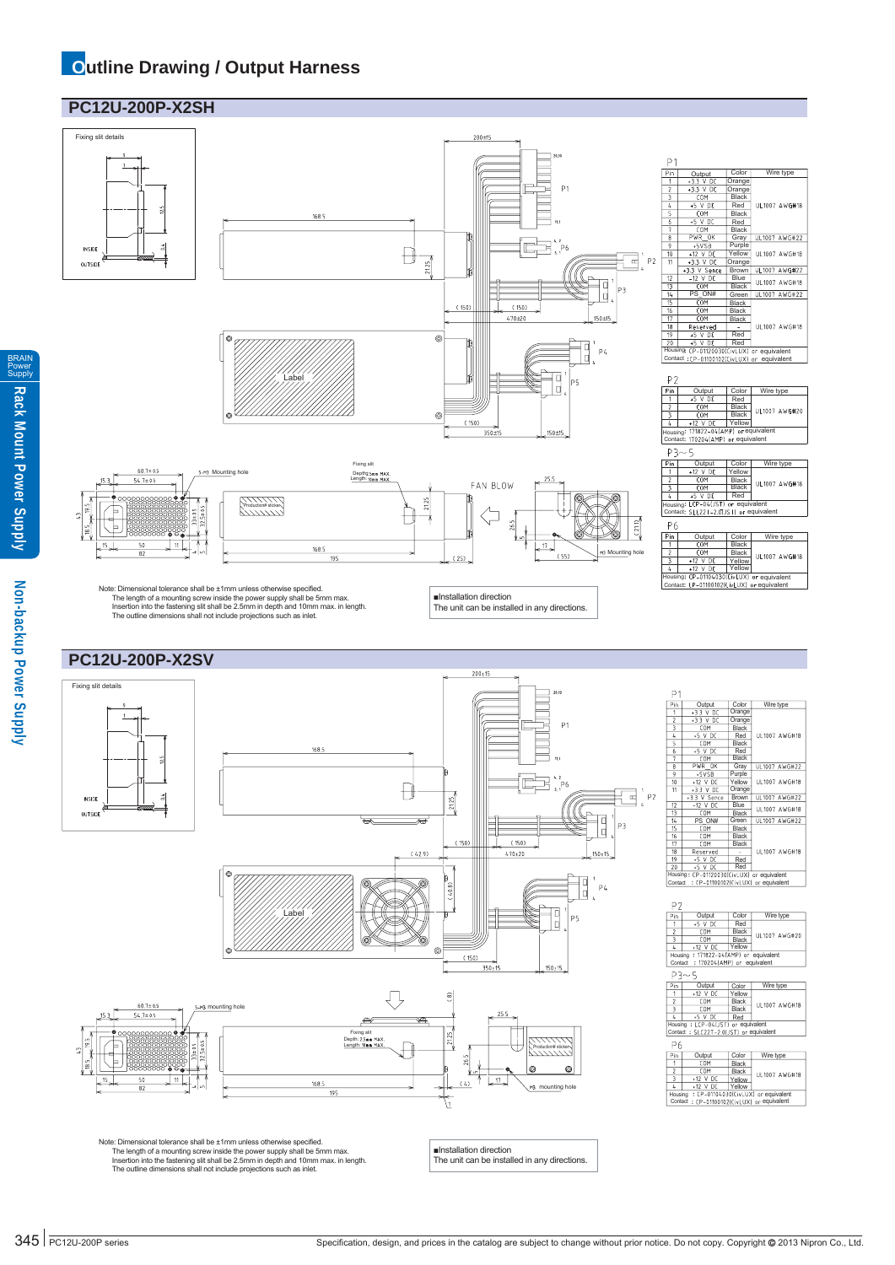## **Outline Drawing / Output Harness**





BRAIN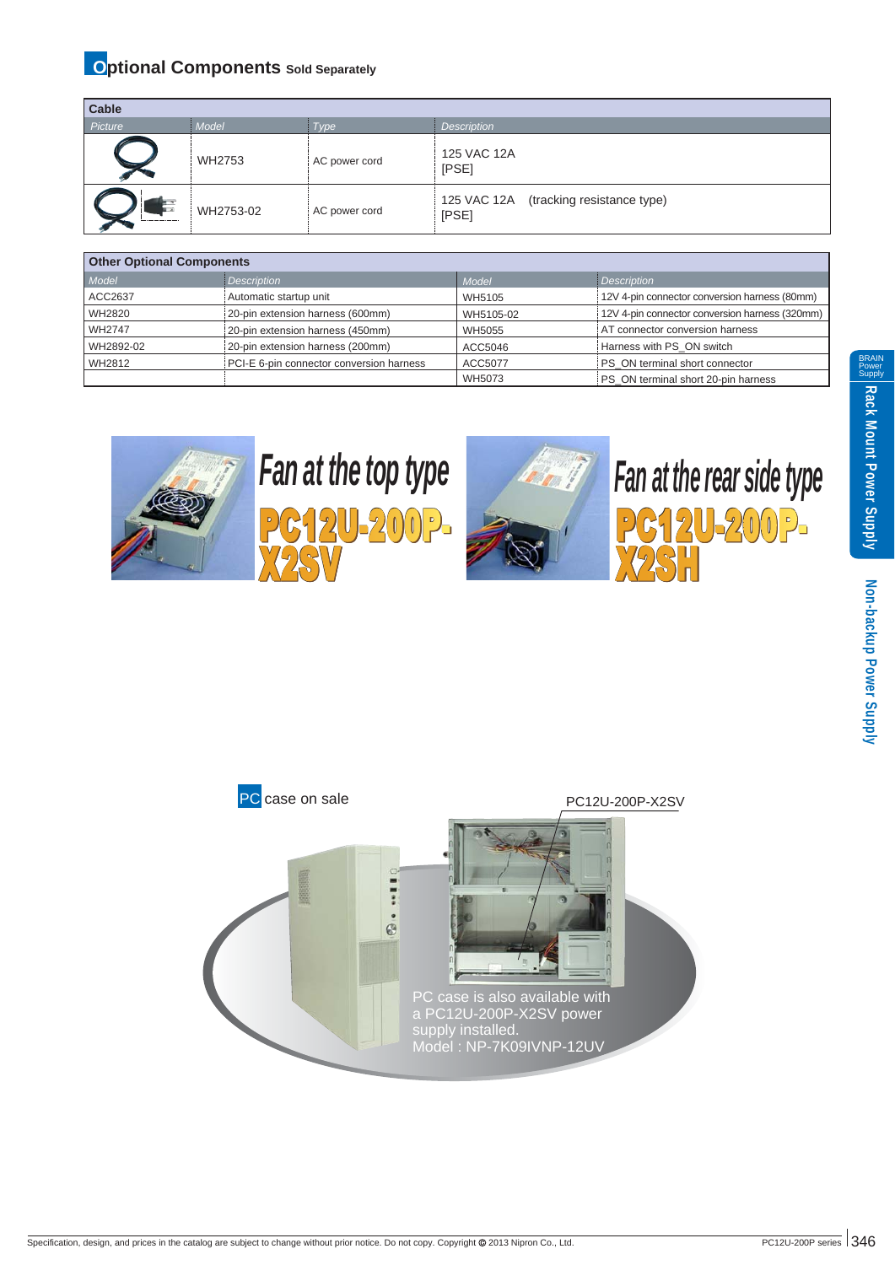## **Optional Components** Sold Separately

| Cable   |           |               |                                                 |
|---------|-----------|---------------|-------------------------------------------------|
| Picture | Model     | Type          | <b>Description</b>                              |
|         | WH2753    | AC power cord | 125 VAC 12A<br>[PSE]                            |
|         | WH2753-02 | AC power cord | 125 VAC 12A (tracking resistance type)<br>[PSE] |

| <b>Other Optional Components</b> |                                          |           |                                                |
|----------------------------------|------------------------------------------|-----------|------------------------------------------------|
| Model                            | Description                              | Model     | <i>Description</i>                             |
| <b>ACC2637</b>                   | Automatic startup unit                   | WH5105    | 12V 4-pin connector conversion harness (80mm)  |
| WH2820                           | 20-pin extension harness (600mm)         | WH5105-02 | 12V 4-pin connector conversion harness (320mm) |
| <b>WH2747</b>                    | 20-pin extension harness (450mm)         | WH5055    | AT connector conversion harness                |
| WH2892-02                        | 20-pin extension harness (200mm)         | ACC5046   | Harness with PS ON switch                      |
| WH2812                           | PCI-E 6-pin connector conversion harness | ACC5077   | PS ON terminal short connector                 |
|                                  |                                          | WH5073    | PS ON terminal short 20-pin harness            |



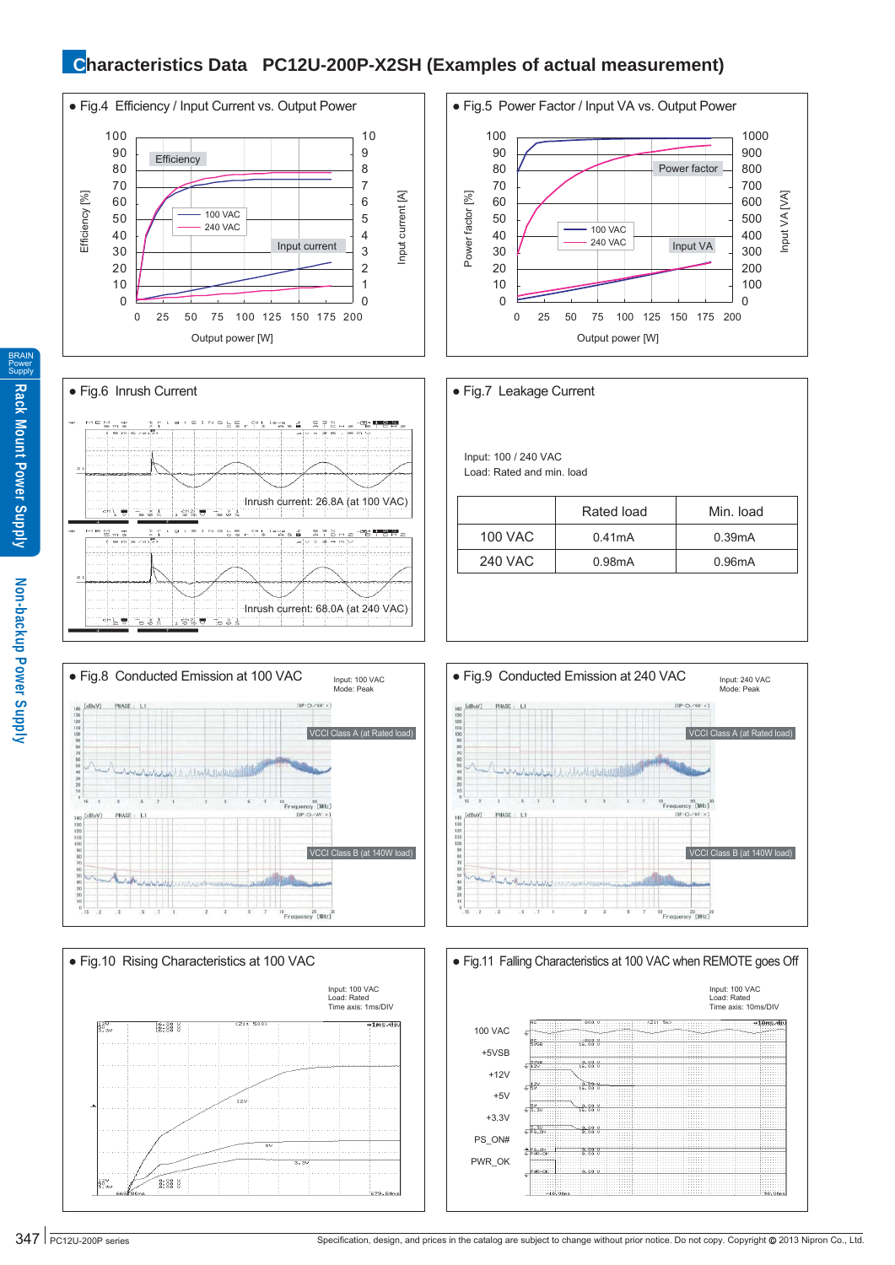## **Characteristics Data PC12U-200P-X2SH (Examples of actual measurement)**











100 VAC 0.41mA 0.39mA 240 VAC 0.98mA 0.96mA Rated load | Min. load Input: 100 / 240 VAC Load: Rated and min. load ● Fig.7 Leakage Current





BRAIN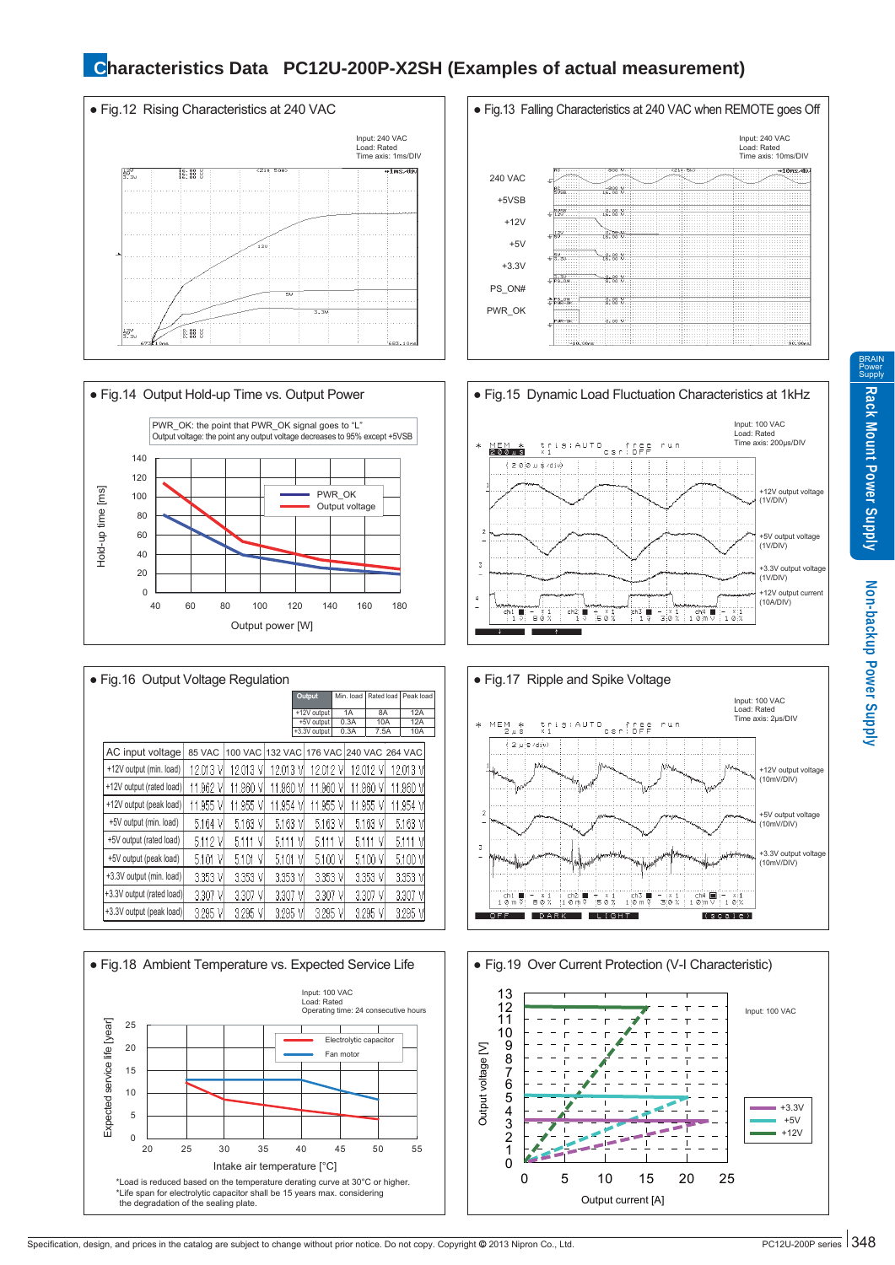## **Characteristics Data PC12U-200P-X2SH (Examples of actual measurement)**





| • Fig. 16 Output Voltage Regulation |             |                |                |                           |   |            |            |  |                |  |  |
|-------------------------------------|-------------|----------------|----------------|---------------------------|---|------------|------------|--|----------------|--|--|
|                                     |             |                |                | Output                    |   | Min. load  | Rated load |  | Peak load      |  |  |
|                                     |             |                |                | +12V output<br>+5V output |   | 1A<br>0.3A | 8A<br>10A  |  | 12A<br>12A     |  |  |
|                                     |             |                |                | +3.3V output              |   | 0.3A       | 7.5A       |  | 10A            |  |  |
| AC input voltage                    | 85 VAC      | <b>100 VAC</b> | <b>132 VAC</b> | 176 VAC 240 VAC           |   |            |            |  | <b>264 VAC</b> |  |  |
| +12V output (min. load)             | 12.013<br>V | 12.013<br>M    | 12.013         | 12.012                    |   | 12.012     |            |  | 12.013 V       |  |  |
| +12V output (rated load)            | 11.962 V    | 11.960 V       | 11.960<br>ν    | 11.960 V                  |   | 11.960     | V          |  | 11.960 V       |  |  |
| +12V output (peak load)             | 11.955 V    | 11.955 V       | 11.954<br>٧    | 11.955                    | ν | 11.955     | V          |  | 11.954 V       |  |  |
| +5V output (min. load)              | 5.164 V     | 5.163 V        | 5.163 V        | 5.163 V                   |   |            | 5.163 V    |  | 5.163 V        |  |  |
| +5V output (rated load)             | 5.112 V     | 5.111<br>٧     | 5.111<br>٧     | 5.111                     |   | 5.111      | V          |  | V<br>5.111     |  |  |
| +5V output (peak load)              | 5.101<br>٧  | 5.101<br>V     | 5.101<br>٧     | 5.100 V                   |   |            | 5.100 V    |  | 5.100 V        |  |  |
| +3.3V output (min. load)            | 3.353 V     | 3.353 V        | 3.353<br>٧     | 3.353 VI                  |   |            | 3.353 VI   |  | 3.353 V        |  |  |
| +3.3V output (rated load)           | 3.307<br>V  | 3.307<br>V     | 3.307<br>V     | 3,307                     |   | 3.307      | ۷          |  | 3.307<br>ν     |  |  |
| +3.3V output (peak load)            | 3.295 VI    | 3.295 V        | 3.295<br>V     | 3.295 V                   |   | 3.295      | V          |  | 3.295 V        |  |  |









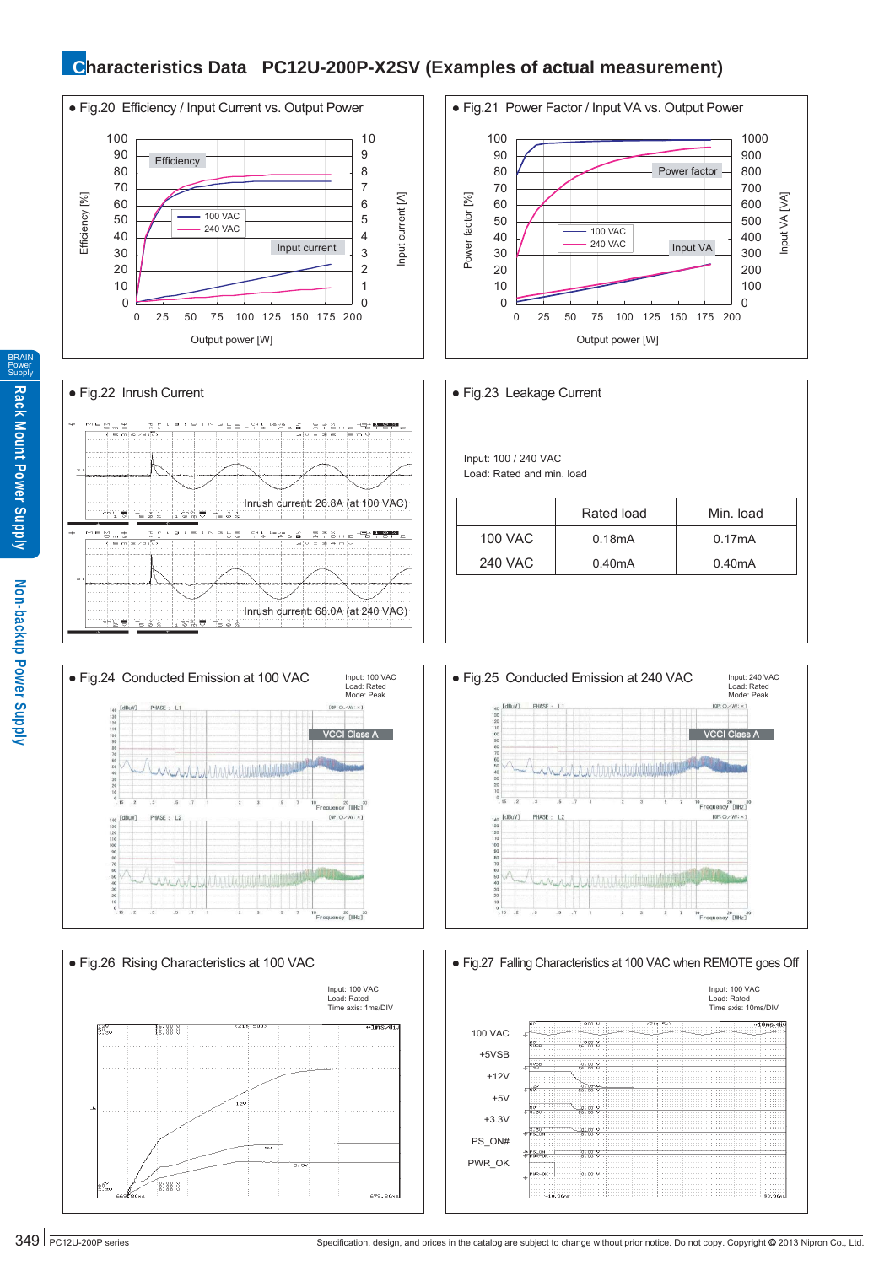### **Characteristics Data PC12U-200P-X2SV (Examples of actual measurement)**















BRAIN Power